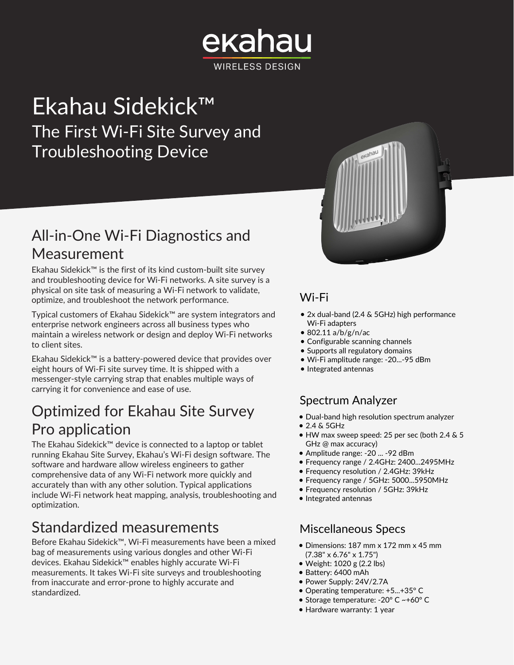# ekahau **WIRELESS DESIGN**

# Ekahau Sidekick™ The First Wi-Fi Site Survey and Troubleshooting Device

## All-in-One Wi-Fi Diagnostics and Measurement

Ekahau Sidekick™ is the first of its kind custom-built site survey and troubleshooting device for Wi-Fi networks. A site survey is a physical on site task of measuring a Wi-Fi network to validate, optimize, and troubleshoot the network performance.

Typical customers of Ekahau Sidekick™ are system integrators and enterprise network engineers across all business types who maintain a wireless network or design and deploy Wi-Fi networks to client sites.

Ekahau Sidekick™ is a battery-powered device that provides over eight hours of Wi-Fi site survey time. It is shipped with a messenger-style carrying strap that enables multiple ways of carrying it for convenience and ease of use.

# Optimized for Ekahau Site Survey Pro application

The Ekahau Sidekick™ device is connected to a laptop or tablet running Ekahau Site Survey, Ekahau's Wi-Fi design software. The software and hardware allow wireless engineers to gather comprehensive data of any Wi-Fi network more quickly and accurately than with any other solution. Typical applications include Wi-Fi network heat mapping, analysis, troubleshooting and optimization.

## Standardized measurements

Before Ekahau Sidekick™, Wi-Fi measurements have been a mixed bag of measurements using various dongles and other Wi-Fi devices. Ekahau Sidekick™ enables highly accurate Wi-Fi measurements. It takes Wi-Fi site surveys and troubleshooting from inaccurate and error-prone to highly accurate and standardized.



### Wi-Fi

- 2x dual-band (2.4 & 5GHz) high performance Wi-Fi adapters
- 802.11 a/b/g/n/ac
- Configurable scanning channels
- Supports all regulatory domains
- Wi-Fi amplitude range: -20...-95 dBm
- Integrated antennas

### Spectrum Analyzer

- Dual-band high resolution spectrum analyzer
- 2.4 & 5GHz
- HW max sweep speed: 25 per sec (both 2.4 & 5 GHz @ max accuracy)
- Amplitude range: -20 ... -92 dBm
- Frequency range / 2.4GHz: 2400...2495MHz
- Frequency resolution / 2.4GHz: 39kHz
- Frequency range / 5GHz: 5000...5950MHz
- Frequency resolution / 5GHz: 39kHz
- Integrated antennas

### Miscellaneous Specs

- Dimensions: 187 mm x 172 mm x 45 mm (7.38" x 6.76" x 1.75")
- Weight: 1020 g (2.2 lbs)
- Battery: 6400 mAh
- Power Supply: 24V/2.7A
- Operating temperature: +5...+35° C
- Storage temperature: -20° C ~+60° C
- Hardware warranty: 1 year